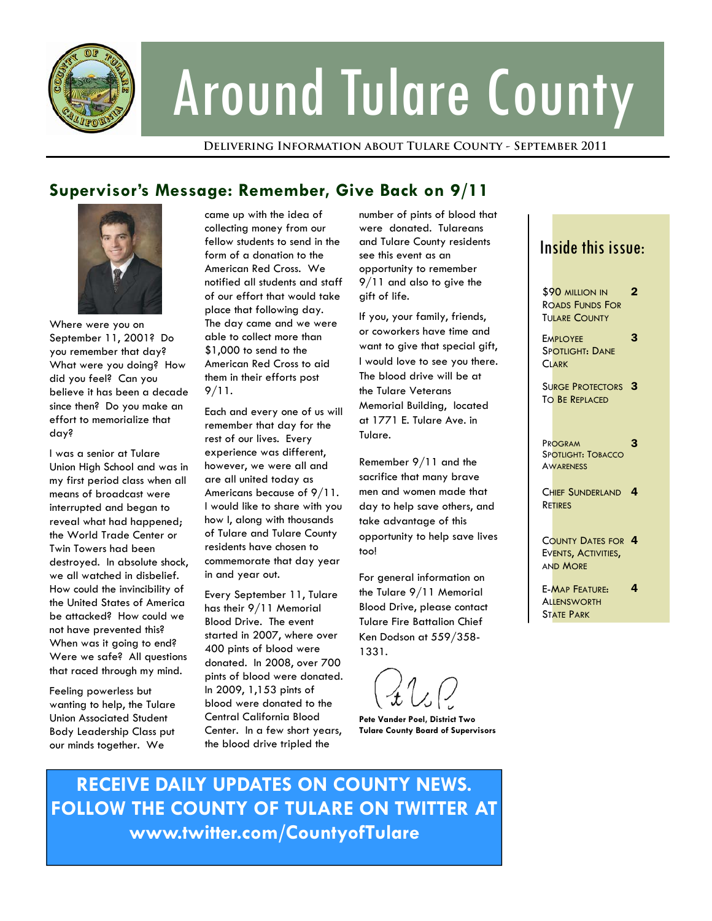

# Around Tulare County

**Delivering Information about Tulare County - September 2011** 

## **Supervisor's Message: Remember, Give Back on 9/11**



Where were you on September 11, 2001? Do you remember that day? What were you doing? How did you feel? Can you believe it has been a decade since then? Do you make an effort to memorialize that day?

I was a senior at Tulare Union High School and was in my first period class when all means of broadcast were interrupted and began to reveal what had happened; the World Trade Center or Twin Towers had been destroyed. In absolute shock, we all watched in disbelief. How could the invincibility of the United States of America be attacked? How could we not have prevented this? When was it going to end? Were we safe? All questions that raced through my mind.

Feeling powerless but wanting to help, the Tulare Union Associated Student Body Leadership Class put our minds together. We

came up with the idea of collecting money from our fellow students to send in the form of a donation to the American Red Cross. We notified all students and staff of our effort that would take place that following day. The day came and we were able to collect more than \$1,000 to send to the American Red Cross to aid them in their efforts post 9/11.

Each and every one of us will remember that day for the rest of our lives. Every experience was different, however, we were all and are all united today as Americans because of 9/11. I would like to share with you how I, along with thousands of Tulare and Tulare County residents have chosen to commemorate that day year in and year out.

Every September 11, Tulare has their 9/11 Memorial Blood Drive. The event started in 2007, where over 400 pints of blood were donated. In 2008, over 700 pints of blood were donated. In 2009, 1,153 pints of blood were donated to the Central California Blood Center. In a few short years, the blood drive tripled the

number of pints of blood that were donated. Tulareans and Tulare County residents see this event as an opportunity to remember 9/11 and also to give the gift of life.

If you, your family, friends, or coworkers have time and want to give that special gift, I would love to see you there. The blood drive will be at the Tulare Veterans Memorial Building, located at 1771 E. Tulare Ave. in Tulare.

Remember 9/11 and the sacrifice that many brave men and women made that day to help save others, and take advantage of this opportunity to help save lives too!

For general information on the Tulare 9/11 Memorial Blood Drive, please contact Tulare Fire Battalion Chief Ken Dodson at 559/358- 1331.

**Pete Vander Poel, District Two Tulare County Board of Supervisors** 

### Inside this issue:

**\$90 MILLION IN** ROADS FUNDS FOR TULARE COUNTY 2 **EMPLOYEE** SPOTLIGHT: DANE **CLARK** 3 SURGE PROTECTORS 3 TO BE REPLACED PROGRAM SPOTLIGHT: TOBACCO **AWARENESS** 3 CHIEF SUNDERLAND 4 **RETIRES** COUNTY DATES FOR 4 EVENTS, ACTIVITIES, AND MORE E-MAP FEATURE: **ALLENSWORTH** STATE PARK 4

**RECEIVE DAILY UPDATES ON COUNTY NEWS. FOLLOW THE COUNTY OF TULARE ON TWITTER AT www.twitter.com/CountyofTulare**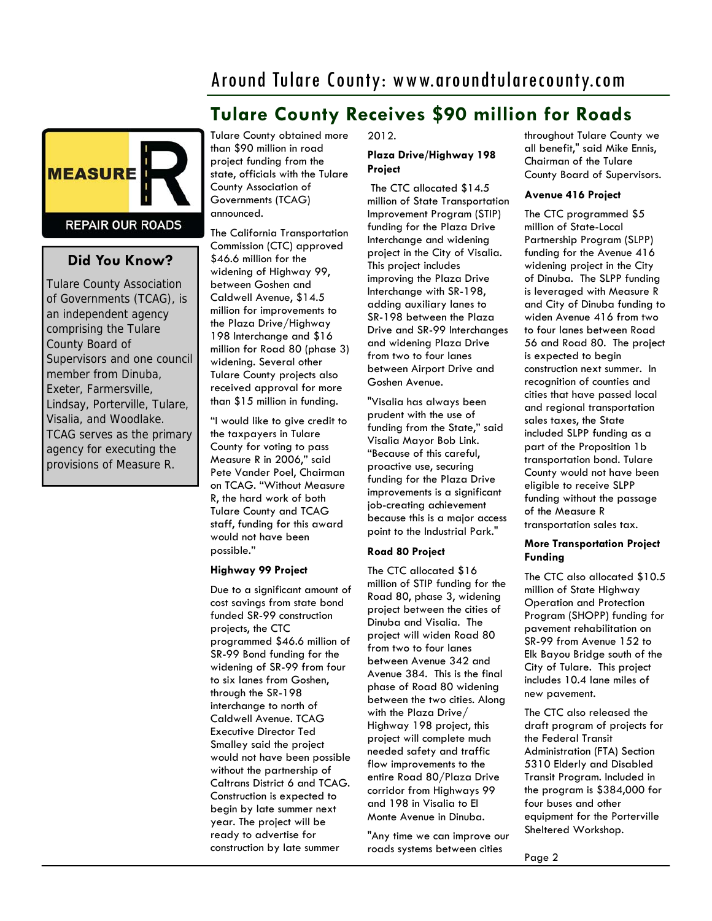# Around Tulare County: www.aroundtularecounty.com

## **Tulare County Receives \$90 million for Roads**



#### **Did You Know?**

Tulare County Association of Governments (TCAG), is an independent agency comprising the Tulare County Board of Supervisors and one council member from Dinuba, Exeter, Farmersville, Lindsay, Porterville, Tulare, Visalia, and Woodlake. TCAG serves as the primary agency for executing the provisions of Measure R.

Tulare County obtained more than \$90 million in road project funding from the state, officials with the Tulare County Association of Governments (TCAG) announced.

The California Transportation Commission (CTC) approved \$46.6 million for the widening of Highway 99, between Goshen and Caldwell Avenue, \$14.5 million for improvements to the Plaza Drive/Highway 198 Interchange and \$16 million for Road 80 (phase 3) widening. Several other Tulare County projects also received approval for more than \$15 million in funding.

"I would like to give credit to the taxpayers in Tulare County for voting to pass Measure R in 2006," said Pete Vander Poel, Chairman on TCAG. "Without Measure R, the hard work of both Tulare County and TCAG staff, funding for this award would not have been possible."

#### **Highway 99 Project**

Due to a significant amount of cost savings from state bond funded SR-99 construction projects, the CTC programmed \$46.6 million of SR-99 Bond funding for the widening of SR-99 from four to six lanes from Goshen, through the SR-198 interchange to north of Caldwell Avenue. TCAG Executive Director Ted Smalley said the project would not have been possible without the partnership of Caltrans District 6 and TCAG. Construction is expected to begin by late summer next year. The project will be ready to advertise for construction by late summer

2012.

#### **Plaza Drive/Highway 198 Project**

 The CTC allocated \$14.5 million of State Transportation Improvement Program (STIP) funding for the Plaza Drive Interchange and widening project in the City of Visalia. This project includes improving the Plaza Drive Interchange with SR-198, adding auxiliary lanes to SR-198 between the Plaza Drive and SR-99 Interchanges and widening Plaza Drive from two to four lanes between Airport Drive and Goshen Avenue.

"Visalia has always been prudent with the use of funding from the State," said Visalia Mayor Bob Link. "Because of this careful, proactive use, securing funding for the Plaza Drive improvements is a significant job-creating achievement because this is a major access point to the Industrial Park."

#### **Road 80 Project**

The CTC allocated \$16 million of STIP funding for the Road 80, phase 3, widening project between the cities of Dinuba and Visalia. The project will widen Road 80 from two to four lanes between Avenue 342 and Avenue 384. This is the final phase of Road 80 widening between the two cities. Along with the Plaza Drive/ Highway 198 project, this project will complete much needed safety and traffic flow improvements to the entire Road 80/Plaza Drive corridor from Highways 99 and 198 in Visalia to El Monte Avenue in Dinuba.

"Any time we can improve our roads systems between cities

throughout Tulare County we all benefit," said Mike Ennis, Chairman of the Tulare County Board of Supervisors.

#### **Avenue 416 Project**

The CTC programmed \$5 million of State-Local Partnership Program (SLPP) funding for the Avenue 416 widening project in the City of Dinuba. The SLPP funding is leveraged with Measure R and City of Dinuba funding to widen Avenue 416 from two to four lanes between Road 56 and Road 80. The project is expected to begin construction next summer. In recognition of counties and cities that have passed local and regional transportation sales taxes, the State included SLPP funding as a part of the Proposition 1b transportation bond. Tulare County would not have been eligible to receive SLPP funding without the passage of the Measure R transportation sales tax.

#### **More Transportation Project Funding**

The CTC also allocated \$10.5 million of State Highway Operation and Protection Program (SHOPP) funding for pavement rehabilitation on SR-99 from Avenue 152 to Elk Bayou Bridge south of the City of Tulare. This project includes 10.4 lane miles of new pavement.

The CTC also released the draft program of projects for the Federal Transit Administration (FTA) Section 5310 Elderly and Disabled Transit Program. Included in the program is \$384,000 for four buses and other equipment for the Porterville Sheltered Workshop.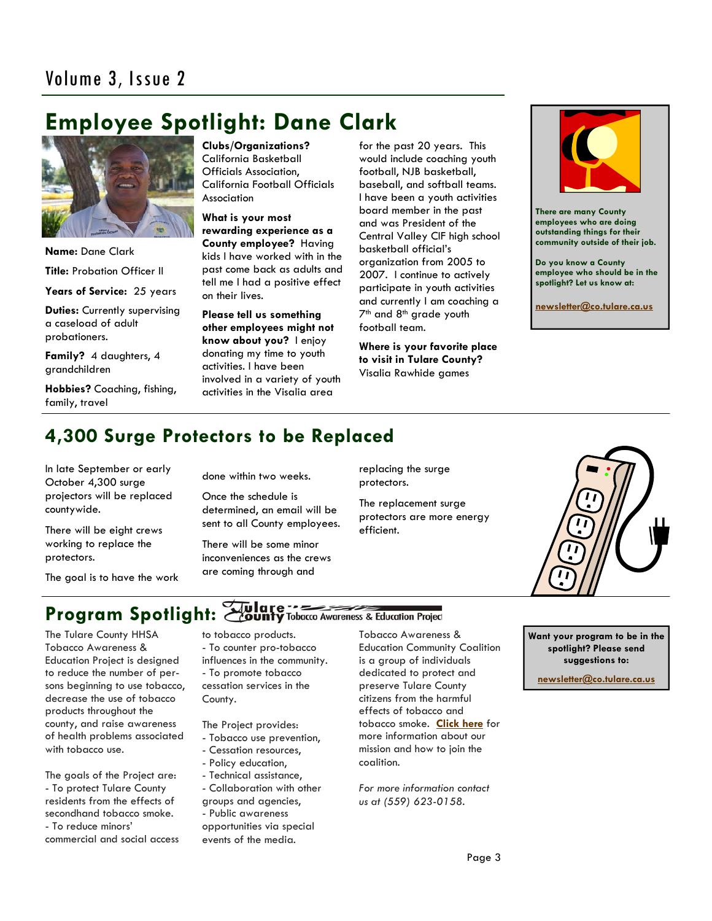# **Employee Spotlight: Dane Clark**



**Name:** Dane Clark **Title:** Probation Officer II **Years of Service:** 25 years

**Duties:** Currently supervising a caseload of adult probationers.

**Family?** 4 daughters, 4 grandchildren

**Hobbies?** Coaching, fishing, family, travel

**Clubs/Organizations?**  California Basketball Officials Association, California Football Officials Association

**What is your most rewarding experience as a County employee?** Having kids I have worked with in the past come back as adults and tell me I had a positive effect on their lives.

**Please tell us something other employees might not know about you?** I enjoy donating my time to youth activities. I have been involved in a variety of youth activities in the Visalia area

for the past 20 years. This would include coaching youth football, NJB basketball, baseball, and softball teams. I have been a youth activities board member in the past and was President of the Central Valley CIF high school basketball official's organization from 2005 to 2007. I continue to actively participate in youth activities and currently I am coaching a 7th and 8th grade youth football team.

**Where is your favorite place to visit in Tulare County?**  Visalia Rawhide games



**There are many County employees who are doing outstanding things for their community outside of their job.** 

**Do you know a County employee who should be in the spotlight? Let us know at:** 

**newsletter@co.tulare.ca.us**

# **4,300 Surge Protectors to be Replaced**

In late September or early October 4,300 surge projectors will be replaced countywide.

There will be eight crews working to replace the protectors.

The goal is to have the work

done within two weeks.

Once the schedule is determined, an email will be sent to all County employees.

There will be some minor inconveniences as the crews are coming through and

replacing the surge protectors.

The replacement surge protectors are more energy efficient.



# **Program Spotlight: Zounty** Tobacco Awareness & Education Project

The Tulare County HHSA Tobacco Awareness & Education Project is designed to reduce the number of persons beginning to use tobacco, decrease the use of tobacco products throughout the county, and raise awareness of health problems associated with tobacco use.

The goals of the Project are: - To protect Tulare County residents from the effects of secondhand tobacco smoke. - To reduce minors' commercial and social access to tobacco products. - To counter pro-tobacco influences in the community. - To promote tobacco cessation services in the County.

The Project provides:

- Tobacco use prevention,
- Cessation resources,
- Policy education,
- Technical assistance,
- Collaboration with other
- groups and agencies, - Public awareness
- opportunities via special events of the media.

Tobacco Awareness & Education Community Coalition is a group of individuals dedicated to protect and preserve Tulare County citizens from the harmful effects of tobacco and tobacco smoke. **Click here** for more information about our mission and how to join the coalition.

*For more information contact us at (559) 623-0158.*

#### **Want your program to be in the spotlight? Please send suggestions to:**

**newsletter@co.tulare.ca.us**